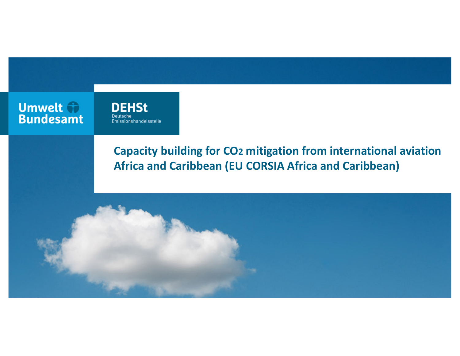**Umwelt + Bundesamt** 

**DEHSt** Deutsche Emissionshandelsstelle

# **Capacity building for CO2 mitigation from international aviationAfrica and Caribbean (EU CORSIA Africa and Caribbean)**

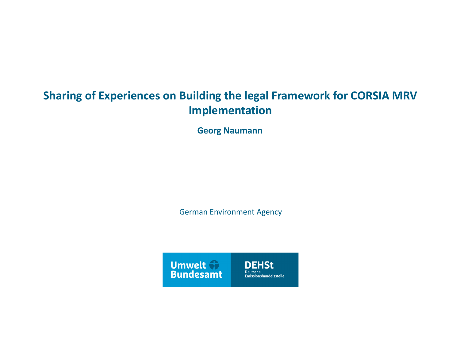# **Sharing of Experiences on Building the legal Framework for CORSIA MRV Implementation**

**Georg Naumann**

German Environment Agency

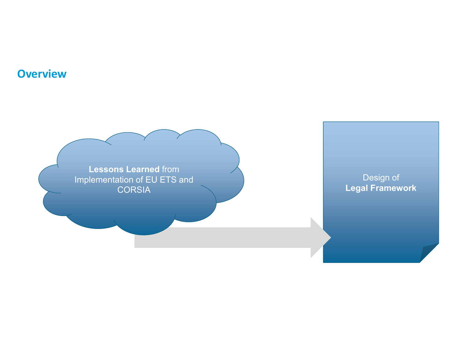### **Overview**

**Lessons Learned** from Implementation of EU ETS and CORSIA

Design of **Legal Framework**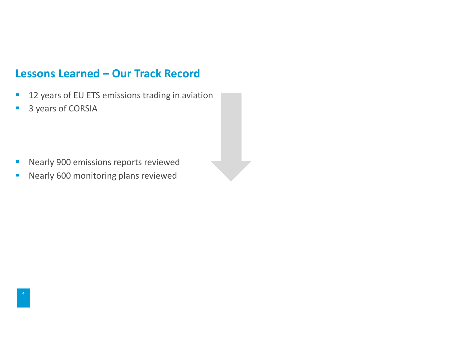### **Lessons Learned – Our Track Record**

- a. 12 years of EU ETS emissions trading in aviation
- $\blacksquare$ 3 years of CORSIA

- $\blacksquare$ Nearly 900 emissions reports reviewed
- Nearly 600 monitoring plans reviewed  $\overline{\phantom{a}}$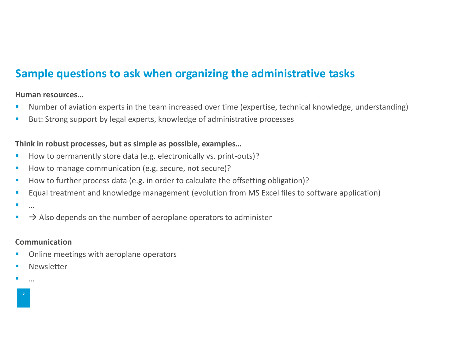## **Sample questions to ask when organizing the administrative tasks**

#### **Human resources…**

- Number of aviation experts in the team increased over time (expertise, technical knowledge, understanding) E
- $\overline{\phantom{a}}$ But: Strong support by legal experts, knowledge of administrative processes

#### **Think in robust processes, but as simple as possible, examples…**

- How to permanently store data (e.g. electronically vs. print-outs)? I.
- П How to manage communication (e.g. secure, not secure)?
- ×, How to further process data (e.g. in order to calculate the offsetting obligation)?
- E Equal treatment and knowledge management (evolution from MS Excel files to software application)
- П …
- $\longrightarrow$  Also depends on the number of aeroplane operators to administer **I**

#### **Communication**

- **Online meetings with aeroplane operators** П
- L Newsletter
- …

**5**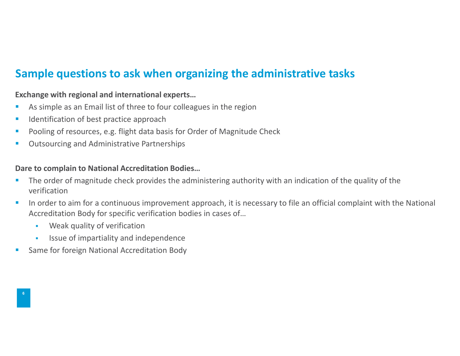## **Sample questions to ask when organizing the administrative tasks**

#### **Exchange with regional and international experts…**

- **As simple as an Email list of three to four colleagues in the region** E
- × Identification of best practice approach
- E Pooling of resources, e.g. flight data basis for Order of Magnitude Check
- E Outsourcing and Administrative Partnerships

#### **Dare to complain to National Accreditation Bodies…**

- **The order of magnitude check provides the administering authority with an indication of the quality of the**  $\overline{\phantom{a}}$ verification
- H. In order to aim for a continuous improvement approach, it is necessary to file an official complaint with the National Accreditation Body for specific verification bodies in cases of…
	- a. Weak quality of verification
	- $\blacksquare$ Issue of impartiality and independence
- $\overline{\phantom{a}}$ Same for foreign National Accreditation Body